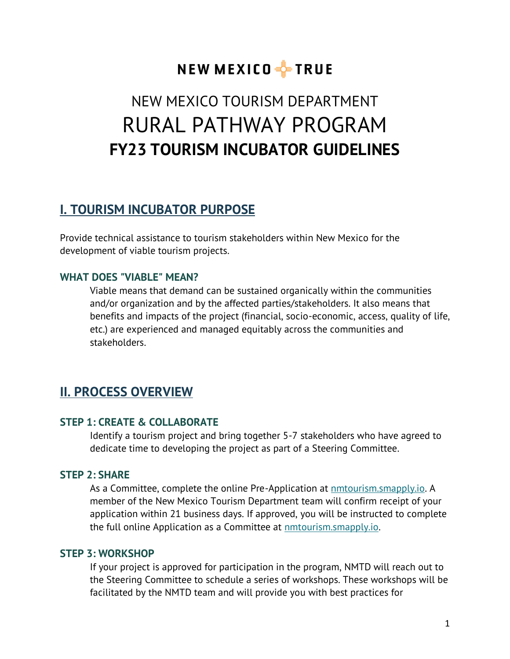# NEW MEXICO FFIRUE

# NEW MEXICO TOURISM DEPARTMENT RURAL PATHWAY PROGRAM **FY23 TOURISM INCUBATOR GUIDELINES**

## **I. TOURISM INCUBATOR PURPOSE**

Provide technical assistance to tourism stakeholders within New Mexico for the development of viable tourism projects.

## **WHAT DOES "VIABLE" MEAN?**

Viable means that demand can be sustained organically within the communities and/or organization and by the affected parties/stakeholders. It also means that benefits and impacts of the project (financial, socio-economic, access, quality of life, etc.) are experienced and managed equitably across the communities and stakeholders.

## **II. PROCESS OVERVIEW**

## **STEP 1: CREATE & COLLABORATE**

Identify a tourism project and bring together 5-7 stakeholders who have agreed to dedicate time to developing the project as part of a Steering Committee.

## **STEP 2: SHARE**

As a Committee, complete the online Pre-Application at **nmtourism.smapply.io.** A member of the New Mexico Tourism Department team will confirm receipt of your application within 21 business days. If approved, you will be instructed to complete the full online Application as a Committee at [nmtourism.smapply.io.](http://nmtourism.smapply.io/)

## **STEP 3: WORKSHOP**

If your project is approved for participation in the program, NMTD will reach out to the Steering Committee to schedule a series of workshops. These workshops will be facilitated by the NMTD team and will provide you with best practices for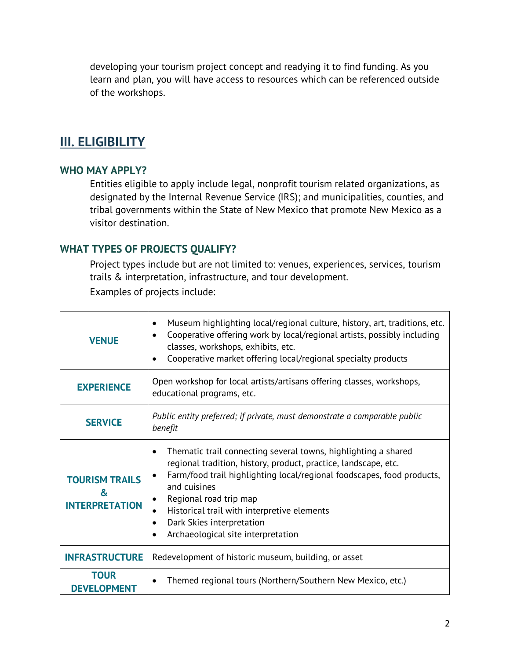developing your tourism project concept and readying it to find funding. As you learn and plan, you will have access to resources which can be referenced outside of the workshops.

## **III. ELIGIBILITY**

## **WHO MAY APPLY?**

Entities eligible to apply include legal, nonprofit tourism related organizations, as designated by the Internal Revenue Service (IRS); and municipalities, counties, and tribal governments within the State of New Mexico that promote New Mexico as a visitor destination.

## **WHAT TYPES OF PROJECTS QUALIFY?**

Project types include but are not limited to: venues, experiences, services, tourism trails & interpretation, infrastructure, and tour development. Examples of projects include:

| <b>VENUE</b>                                        | Museum highlighting local/regional culture, history, art, traditions, etc.<br>٠<br>Cooperative offering work by local/regional artists, possibly including<br>$\bullet$<br>classes, workshops, exhibits, etc.<br>Cooperative market offering local/regional specialty products<br>$\bullet$                                                                                                            |  |
|-----------------------------------------------------|--------------------------------------------------------------------------------------------------------------------------------------------------------------------------------------------------------------------------------------------------------------------------------------------------------------------------------------------------------------------------------------------------------|--|
| <b>EXPERIENCE</b>                                   | Open workshop for local artists/artisans offering classes, workshops,<br>educational programs, etc.                                                                                                                                                                                                                                                                                                    |  |
| <b>SERVICE</b>                                      | Public entity preferred; if private, must demonstrate a comparable public<br>benefit                                                                                                                                                                                                                                                                                                                   |  |
| <b>TOURISM TRAILS</b><br>&<br><b>INTERPRETATION</b> | Thematic trail connecting several towns, highlighting a shared<br>regional tradition, history, product, practice, landscape, etc.<br>Farm/food trail highlighting local/regional foodscapes, food products,<br>and cuisines<br>Regional road trip map<br>٠<br>Historical trail with interpretive elements<br>$\bullet$<br>Dark Skies interpretation<br>$\bullet$<br>Archaeological site interpretation |  |
| <b>INFRASTRUCTURE</b>                               | Redevelopment of historic museum, building, or asset                                                                                                                                                                                                                                                                                                                                                   |  |
| <b>TOUR</b><br><b>DEVELOPMENT</b>                   | Themed regional tours (Northern/Southern New Mexico, etc.)                                                                                                                                                                                                                                                                                                                                             |  |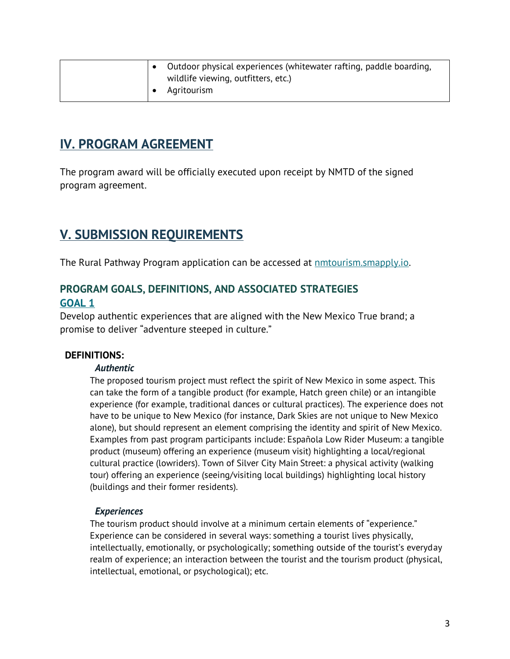|  | Outdoor physical experiences (whitewater rafting, paddle boarding, |
|--|--------------------------------------------------------------------|
|  | wildlife viewing, outfitters, etc.)                                |
|  | Agritourism                                                        |

## **IV. PROGRAM AGREEMENT**

The program award will be officially executed upon receipt by NMTD of the signed program agreement.

## **V. SUBMISSION REQUIREMENTS**

The Rural Pathway Program application can be accessed at [nmtourism.smapply.io.](https://nmtourism.smapply.io/)

## **PROGRAM GOALS, DEFINITIONS, AND ASSOCIATED STRATEGIES GOAL 1**

Develop authentic experiences that are aligned with the New Mexico True brand; a promise to deliver "adventure steeped in culture."

## **DEFINITIONS:**

## *Authentic*

The proposed tourism project must reflect the spirit of New Mexico in some aspect. This can take the form of a tangible product (for example, Hatch green chile) or an intangible experience (for example, traditional dances or cultural practices). The experience does not have to be unique to New Mexico (for instance, Dark Skies are not unique to New Mexico alone), but should represent an element comprising the identity and spirit of New Mexico. Examples from past program participants include: Española Low Rider Museum: a tangible product (museum) offering an experience (museum visit) highlighting a local/regional cultural practice (lowriders). Town of Silver City Main Street: a physical activity (walking tour) offering an experience (seeing/visiting local buildings) highlighting local history (buildings and their former residents).

## *Experiences*

The tourism product should involve at a minimum certain elements of "experience." Experience can be considered in several ways: something a tourist lives physically, intellectually, emotionally, or psychologically; something outside of the tourist's everyday realm of experience; an interaction between the tourist and the tourism product (physical, intellectual, emotional, or psychological); etc.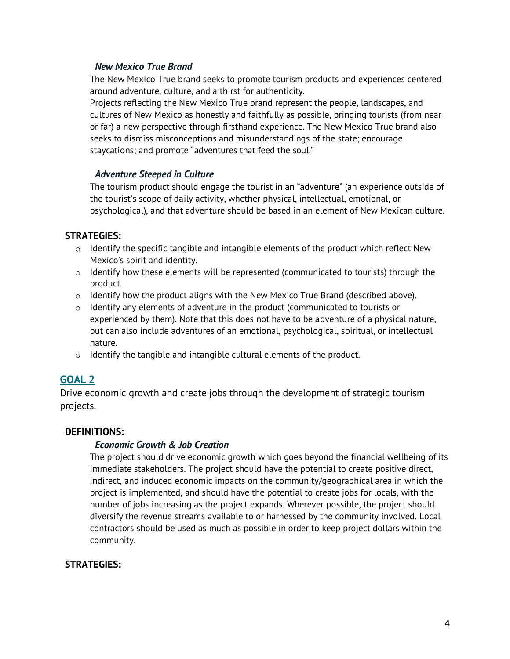#### *New Mexico True Brand*

The New Mexico True brand seeks to promote tourism products and experiences centered around adventure, culture, and a thirst for authenticity.

Projects reflecting the New Mexico True brand represent the people, landscapes, and cultures of New Mexico as honestly and faithfully as possible, bringing tourists (from near or far) a new perspective through firsthand experience. The New Mexico True brand also seeks to dismiss misconceptions and misunderstandings of the state; encourage staycations; and promote "adventures that feed the soul."

#### *Adventure Steeped in Culture*

The tourism product should engage the tourist in an "adventure" (an experience outside of the tourist's scope of daily activity, whether physical, intellectual, emotional, or psychological), and that adventure should be based in an element of New Mexican culture.

## **STRATEGIES:**

- $\circ$  Identify the specific tangible and intangible elements of the product which reflect New Mexico's spirit and identity.
- o Identify how these elements will be represented (communicated to tourists) through the product.
- $\circ$  Identify how the product aligns with the New Mexico True Brand (described above).
- $\circ$  Identify any elements of adventure in the product (communicated to tourists or experienced by them). Note that this does not have to be adventure of a physical nature, but can also include adventures of an emotional, psychological, spiritual, or intellectual nature.
- o Identify the tangible and intangible cultural elements of the product.

## **GOAL 2**

Drive economic growth and create jobs through the development of strategic tourism projects.

## **DEFINITIONS:**

## *Economic Growth & Job Creation*

The project should drive economic growth which goes beyond the financial wellbeing of its immediate stakeholders. The project should have the potential to create positive direct, indirect, and induced economic impacts on the community/geographical area in which the project is implemented, and should have the potential to create jobs for locals, with the number of jobs increasing as the project expands. Wherever possible, the project should diversify the revenue streams available to or harnessed by the community involved. Local contractors should be used as much as possible in order to keep project dollars within the community.

## **STRATEGIES:**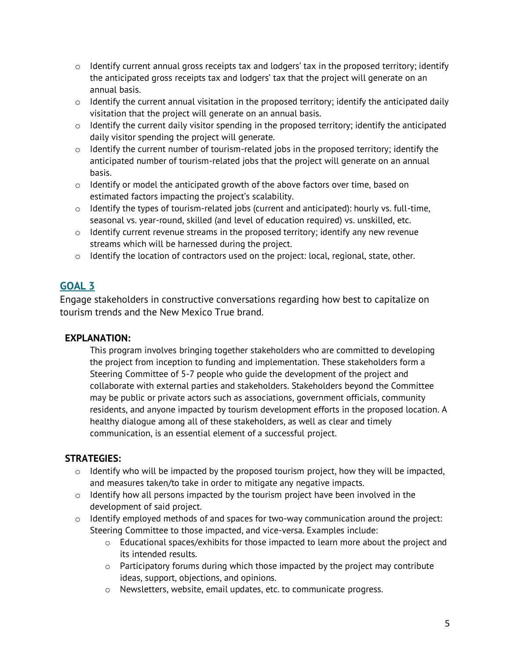- $\circ$  Identify current annual gross receipts tax and lodgers' tax in the proposed territory; identify the anticipated gross receipts tax and lodgers' tax that the project will generate on an annual basis.
- $\circ$  Identify the current annual visitation in the proposed territory; identify the anticipated daily visitation that the project will generate on an annual basis.
- $\circ$  Identify the current daily visitor spending in the proposed territory; identify the anticipated daily visitor spending the project will generate.
- $\circ$  Identify the current number of tourism-related jobs in the proposed territory; identify the anticipated number of tourism-related jobs that the project will generate on an annual basis.
- $\circ$  Identify or model the anticipated growth of the above factors over time, based on estimated factors impacting the project's scalability.
- $\circ$  Identify the types of tourism-related jobs (current and anticipated): hourly vs. full-time, seasonal vs. year-round, skilled (and level of education required) vs. unskilled, etc.
- o Identify current revenue streams in the proposed territory; identify any new revenue streams which will be harnessed during the project.
- o Identify the location of contractors used on the project: local, regional, state, other.

## **GOAL 3**

Engage stakeholders in constructive conversations regarding how best to capitalize on tourism trends and the New Mexico True brand.

## **EXPLANATION:**

This program involves bringing together stakeholders who are committed to developing the project from inception to funding and implementation. These stakeholders form a Steering Committee of 5-7 people who guide the development of the project and collaborate with external parties and stakeholders. Stakeholders beyond the Committee may be public or private actors such as associations, government officials, community residents, and anyone impacted by tourism development efforts in the proposed location. A healthy dialogue among all of these stakeholders, as well as clear and timely communication, is an essential element of a successful project.

## **STRATEGIES:**

- o Identify who will be impacted by the proposed tourism project, how they will be impacted, and measures taken/to take in order to mitigate any negative impacts.
- $\circ$  Identify how all persons impacted by the tourism project have been involved in the development of said project.
- $\circ$  Identify employed methods of and spaces for two-way communication around the project: Steering Committee to those impacted, and vice-versa. Examples include:
	- $\circ$  Educational spaces/exhibits for those impacted to learn more about the project and its intended results.
	- $\circ$  Participatory forums during which those impacted by the project may contribute ideas, support, objections, and opinions.
	- o Newsletters, website, email updates, etc. to communicate progress.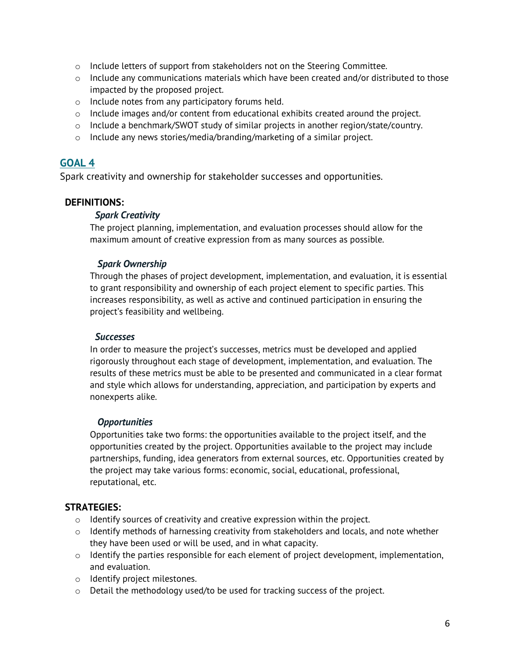- o Include letters of support from stakeholders not on the Steering Committee.
- o Include any communications materials which have been created and/or distributed to those impacted by the proposed project.
- o Include notes from any participatory forums held.
- $\circ$  Include images and/or content from educational exhibits created around the project.
- $\circ$  Include a benchmark/SWOT study of similar projects in another region/state/country.
- o Include any news stories/media/branding/marketing of a similar project.

## **GOAL 4**

Spark creativity and ownership for stakeholder successes and opportunities.

## **DEFINITIONS:**

## *Spark Creativity*

The project planning, implementation, and evaluation processes should allow for the maximum amount of creative expression from as many sources as possible.

## *Spark Ownership*

Through the phases of project development, implementation, and evaluation, it is essential to grant responsibility and ownership of each project element to specific parties. This increases responsibility, as well as active and continued participation in ensuring the project's feasibility and wellbeing.

## *Successes*

In order to measure the project's successes, metrics must be developed and applied rigorously throughout each stage of development, implementation, and evaluation. The results of these metrics must be able to be presented and communicated in a clear format and style which allows for understanding, appreciation, and participation by experts and nonexperts alike.

## *Opportunities*

Opportunities take two forms: the opportunities available to the project itself, and the opportunities created by the project. Opportunities available to the project may include partnerships, funding, idea generators from external sources, etc. Opportunities created by the project may take various forms: economic, social, educational, professional, reputational, etc.

## **STRATEGIES:**

- $\circ$  Identify sources of creativity and creative expression within the project.
- $\circ$  Identify methods of harnessing creativity from stakeholders and locals, and note whether they have been used or will be used, and in what capacity.
- $\circ$  Identify the parties responsible for each element of project development, implementation, and evaluation.
- o Identify project milestones.
- o Detail the methodology used/to be used for tracking success of the project.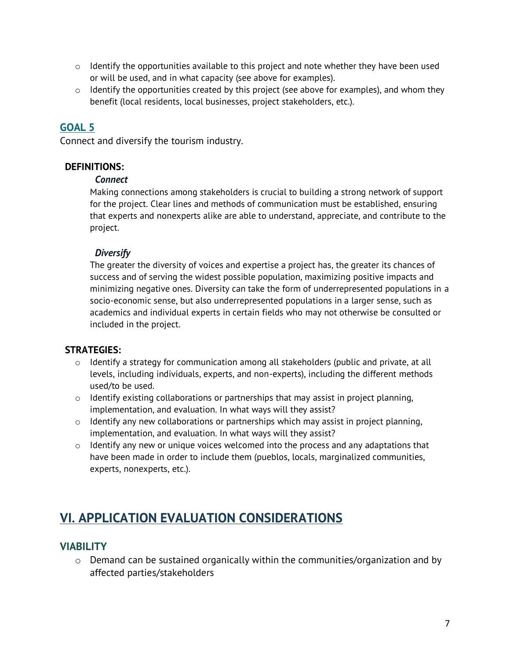- $\circ$  Identify the opportunities available to this project and note whether they have been used or will be used, and in what capacity (see above for examples).
- $\circ$  Identify the opportunities created by this project (see above for examples), and whom they benefit (local residents, local businesses, project stakeholders, etc.).

## **GOAL 5**

Connect and diversify the tourism industry.

## **DEFINITIONS:**

## *Connect*

Making connections among stakeholders is crucial to building a strong network of support for the project. Clear lines and methods of communication must be established, ensuring that experts and nonexperts alike are able to understand, appreciate, and contribute to the project.

## *Diversify*

The greater the diversity of voices and expertise a project has, the greater its chances of success and of serving the widest possible population, maximizing positive impacts and minimizing negative ones. Diversity can take the form of underrepresented populations in a socio-economic sense, but also underrepresented populations in a larger sense, such as academics and individual experts in certain fields who may not otherwise be consulted or included in the project.

## **STRATEGIES:**

- $\circ$  Identify a strategy for communication among all stakeholders (public and private, at all levels, including individuals, experts, and non-experts), including the different methods used/to be used.
- o Identify existing collaborations or partnerships that may assist in project planning, implementation, and evaluation. In what ways will they assist?
- $\circ$  Identify any new collaborations or partnerships which may assist in project planning, implementation, and evaluation. In what ways will they assist?
- $\circ$  Identify any new or unique voices welcomed into the process and any adaptations that have been made in order to include them (pueblos, locals, marginalized communities, experts, nonexperts, etc.).

## **VI. APPLICATION EVALUATION CONSIDERATIONS**

## **VIABILITY**

o Demand can be sustained organically within the communities/organization and by affected parties/stakeholders